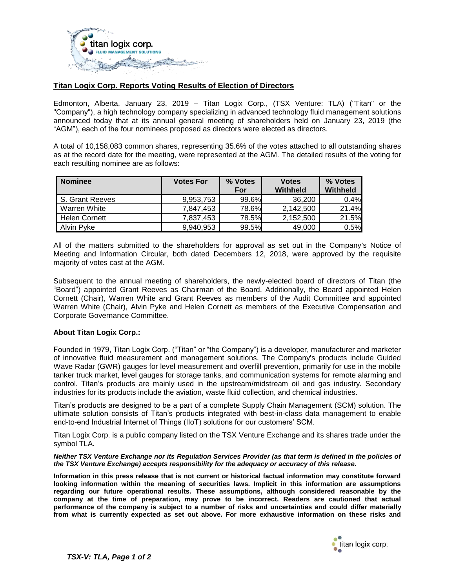

## **Titan Logix Corp. Reports Voting Results of Election of Directors**

Edmonton, Alberta, January 23, 2019 – Titan Logix Corp., (TSX Venture: TLA) ("Titan" or the "Company"), a high technology company specializing in advanced technology fluid management solutions announced today that at its annual general meeting of shareholders held on January 23, 2019 (the "AGM"), each of the four nominees proposed as directors were elected as directors.

A total of 10,158,083 common shares, representing 35.6% of the votes attached to all outstanding shares as at the record date for the meeting, were represented at the AGM. The detailed results of the voting for each resulting nominee are as follows:

| <b>Nominee</b>       | <b>Votes For</b> | % Votes | <b>Votes</b> | % Votes  |
|----------------------|------------------|---------|--------------|----------|
|                      |                  | For     | Withheld     | Withheld |
| S. Grant Reeves      | 9.953.753        | 99.6%   | 36.200       | 0.4%     |
| Warren White         | 7.847.453        | 78.6%   | 2.142.500    | 21.4%    |
| <b>Helen Cornett</b> | 7.837.453        | 78.5%   | 2.152.500    | 21.5%    |
| Alvin Pyke           | 9,940,953        | 99.5%   | 49,000       | 0.5%     |

All of the matters submitted to the shareholders for approval as set out in the Company's Notice of Meeting and Information Circular, both dated Decembers 12, 2018, were approved by the requisite majority of votes cast at the AGM.

Subsequent to the annual meeting of shareholders, the newly-elected board of directors of Titan (the "Board") appointed Grant Reeves as Chairman of the Board. Additionally, the Board appointed Helen Cornett (Chair), Warren White and Grant Reeves as members of the Audit Committee and appointed Warren White (Chair), Alvin Pyke and Helen Cornett as members of the Executive Compensation and Corporate Governance Committee.

## **About Titan Logix Corp.:**

Founded in 1979, Titan Logix Corp. ("Titan" or "the Company") is a developer, manufacturer and marketer of innovative fluid measurement and management solutions. The Company's products include Guided Wave Radar (GWR) gauges for level measurement and overfill prevention, primarily for use in the mobile tanker truck market, level gauges for storage tanks, and communication systems for remote alarming and control. Titan's products are mainly used in the upstream/midstream oil and gas industry. Secondary industries for its products include the aviation, waste fluid collection, and chemical industries.

Titan's products are designed to be a part of a complete Supply Chain Management (SCM) solution. The ultimate solution consists of Titan's products integrated with best-in-class data management to enable end-to-end Industrial Internet of Things (IIoT) solutions for our customers' SCM.

Titan Logix Corp. is a public company listed on the TSX Venture Exchange and its shares trade under the symbol TLA.

## *Neither TSX Venture Exchange nor its Regulation Services Provider (as that term is defined in the policies of the TSX Venture Exchange) accepts responsibility for the adequacy or accuracy of this release.*

**Information in this press release that is not current or historical factual information may constitute forward looking information within the meaning of securities laws. Implicit in this information are assumptions regarding our future operational results. These assumptions, although considered reasonable by the company at the time of preparation, may prove to be incorrect. Readers are cautioned that actual performance of the company is subject to a number of risks and uncertainties and could differ materially from what is currently expected as set out above. For more exhaustive information on these risks and**